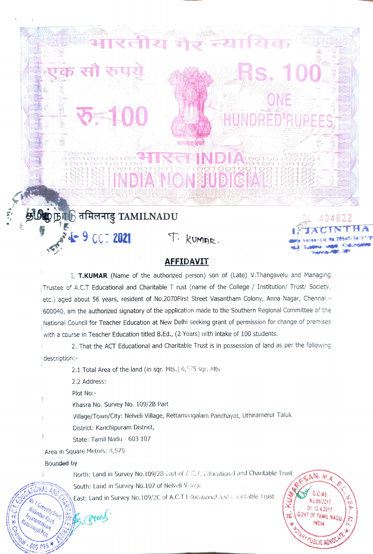## INDFASNON SELL BTGFA

Healie Will

**UNDRED** 

## **AFFIDAVIT**

T. KUMAR.

I, T.KUMAR (Name of the authorized person) son of (Late) V.Thangavelu and Managing Trustee of A.C.T Educational and Charitable T rust (name of the College / Institution/ Trust/ Society, etc.) aged about 56 years, resident of No.2070First Street Vasantham Colony, Anna Nagar, Chennai -600040, am the authorized signatory of the application made to the Southern Regional Committee of the National Council for Teacher Education at New Delhi seeking grant of permission for change of premises with a course in Teacher Education titled B.Ed., (2 Years) with intake of 100 students.

2. That the ACT Educational and Charitable Trust is in possession of land as per the following description:-

2.1 Total Area of the land (in sqr. Mts.) 4,575 sqr. Mts

2.2 Address:

Plot No:-

Khasra No. Survey No. 109/2B Part

Village/Town/City: Nelveli Village, Rettamangalam Panchayat, Uthiramerur Taluk

District: Kanchipuram District,

 $\mathbf{D}$ ழ நா $\mathfrak{h}$  तमिलनाडु <code>TAMILNADU</code>

SE 9 CCT 2021

State: Tamil Nadu - 603 107

Area in Square Meters: 4,575

Bounded by

600

North: Land in Survey No.109/2B Part of A.C.T. Educational and Charitable Trust

South: Land in Survey No.107 of Nelveli Vulage

East: Land in Survey No.109/2C of A.C.T Educational and Charitable Trust